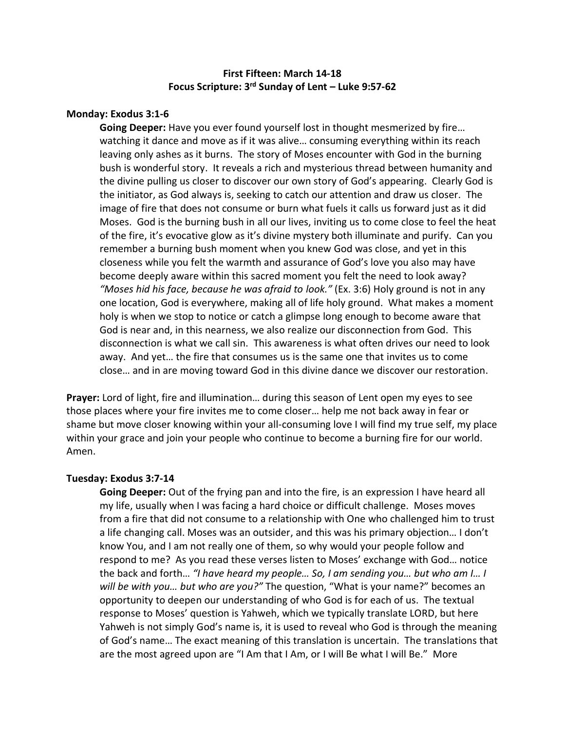# **First Fifteen: March 14-18 Focus Scripture: 3 rd Sunday of Lent – Luke 9:57-62**

## **Monday: Exodus 3:1-6**

**Going Deeper:** Have you ever found yourself lost in thought mesmerized by fire… watching it dance and move as if it was alive… consuming everything within its reach leaving only ashes as it burns. The story of Moses encounter with God in the burning bush is wonderful story. It reveals a rich and mysterious thread between humanity and the divine pulling us closer to discover our own story of God's appearing. Clearly God is the initiator, as God always is, seeking to catch our attention and draw us closer. The image of fire that does not consume or burn what fuels it calls us forward just as it did Moses. God is the burning bush in all our lives, inviting us to come close to feel the heat of the fire, it's evocative glow as it's divine mystery both illuminate and purify. Can you remember a burning bush moment when you knew God was close, and yet in this closeness while you felt the warmth and assurance of God's love you also may have become deeply aware within this sacred moment you felt the need to look away? *"Moses hid his face, because he was afraid to look."* (Ex. 3:6) Holy ground is not in any one location, God is everywhere, making all of life holy ground. What makes a moment holy is when we stop to notice or catch a glimpse long enough to become aware that God is near and, in this nearness, we also realize our disconnection from God. This disconnection is what we call sin. This awareness is what often drives our need to look away. And yet… the fire that consumes us is the same one that invites us to come close… and in are moving toward God in this divine dance we discover our restoration.

**Prayer:** Lord of light, fire and illumination… during this season of Lent open my eyes to see those places where your fire invites me to come closer… help me not back away in fear or shame but move closer knowing within your all-consuming love I will find my true self, my place within your grace and join your people who continue to become a burning fire for our world. Amen.

## **Tuesday: Exodus 3:7-14**

**Going Deeper:** Out of the frying pan and into the fire, is an expression I have heard all my life, usually when I was facing a hard choice or difficult challenge. Moses moves from a fire that did not consume to a relationship with One who challenged him to trust a life changing call. Moses was an outsider, and this was his primary objection… I don't know You, and I am not really one of them, so why would your people follow and respond to me? As you read these verses listen to Moses' exchange with God… notice the back and forth… *"I have heard my people… So, I am sending you… but who am I… I will be with you… but who are you?"* The question, "What is your name?" becomes an opportunity to deepen our understanding of who God is for each of us. The textual response to Moses' question is Yahweh, which we typically translate LORD, but here Yahweh is not simply God's name is, it is used to reveal who God is through the meaning of God's name… The exact meaning of this translation is uncertain. The translations that are the most agreed upon are "I Am that I Am, or I will Be what I will Be." More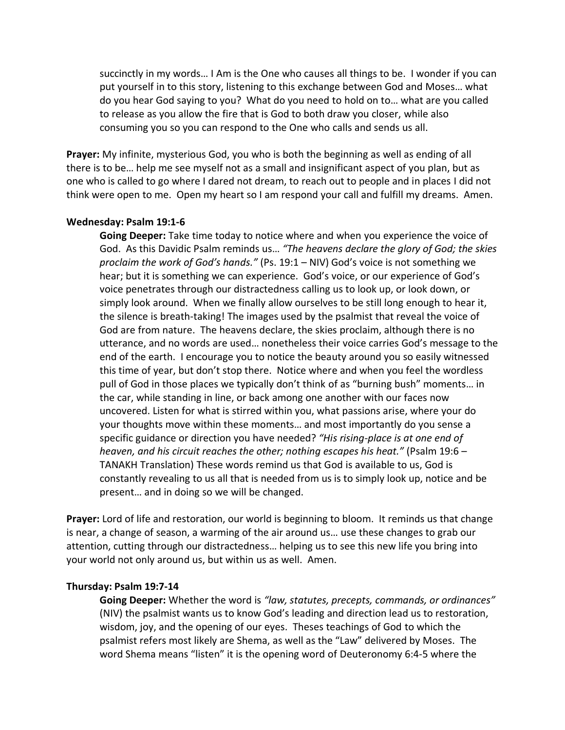succinctly in my words… I Am is the One who causes all things to be. I wonder if you can put yourself in to this story, listening to this exchange between God and Moses… what do you hear God saying to you? What do you need to hold on to… what are you called to release as you allow the fire that is God to both draw you closer, while also consuming you so you can respond to the One who calls and sends us all.

**Prayer:** My infinite, mysterious God, you who is both the beginning as well as ending of all there is to be… help me see myself not as a small and insignificant aspect of you plan, but as one who is called to go where I dared not dream, to reach out to people and in places I did not think were open to me. Open my heart so I am respond your call and fulfill my dreams. Amen.

### **Wednesday: Psalm 19:1-6**

**Going Deeper:** Take time today to notice where and when you experience the voice of God. As this Davidic Psalm reminds us… *"The heavens declare the glory of God; the skies proclaim the work of God's hands."* (Ps. 19:1 – NIV) God's voice is not something we hear; but it is something we can experience. God's voice, or our experience of God's voice penetrates through our distractedness calling us to look up, or look down, or simply look around. When we finally allow ourselves to be still long enough to hear it, the silence is breath-taking! The images used by the psalmist that reveal the voice of God are from nature. The heavens declare, the skies proclaim, although there is no utterance, and no words are used… nonetheless their voice carries God's message to the end of the earth. I encourage you to notice the beauty around you so easily witnessed this time of year, but don't stop there. Notice where and when you feel the wordless pull of God in those places we typically don't think of as "burning bush" moments… in the car, while standing in line, or back among one another with our faces now uncovered. Listen for what is stirred within you, what passions arise, where your do your thoughts move within these moments… and most importantly do you sense a specific guidance or direction you have needed? *"His rising-place is at one end of heaven, and his circuit reaches the other; nothing escapes his heat."* (Psalm 19:6 – TANAKH Translation) These words remind us that God is available to us, God is constantly revealing to us all that is needed from us is to simply look up, notice and be present… and in doing so we will be changed.

**Prayer:** Lord of life and restoration, our world is beginning to bloom. It reminds us that change is near, a change of season, a warming of the air around us… use these changes to grab our attention, cutting through our distractedness… helping us to see this new life you bring into your world not only around us, but within us as well. Amen.

## **Thursday: Psalm 19:7-14**

**Going Deeper:** Whether the word is *"law, statutes, precepts, commands, or ordinances"*  (NIV) the psalmist wants us to know God's leading and direction lead us to restoration, wisdom, joy, and the opening of our eyes. Theses teachings of God to which the psalmist refers most likely are Shema, as well as the "Law" delivered by Moses. The word Shema means "listen" it is the opening word of Deuteronomy 6:4-5 where the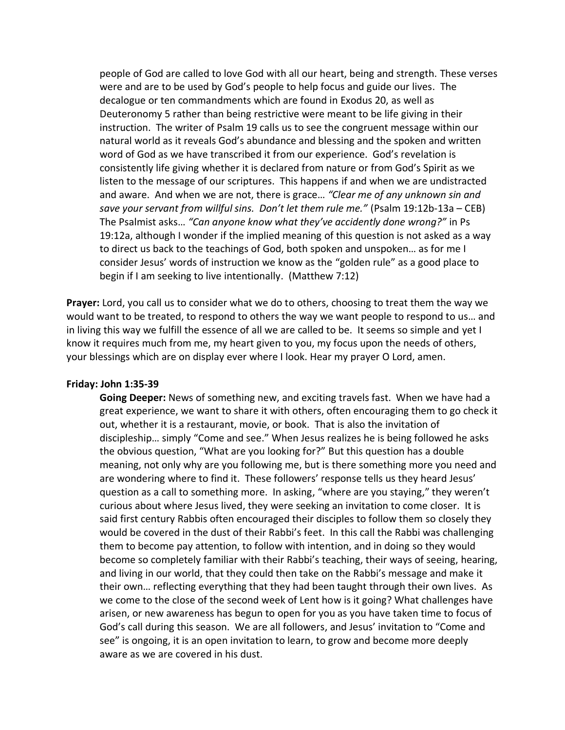people of God are called to love God with all our heart, being and strength. These verses were and are to be used by God's people to help focus and guide our lives. The decalogue or ten commandments which are found in Exodus 20, as well as Deuteronomy 5 rather than being restrictive were meant to be life giving in their instruction. The writer of Psalm 19 calls us to see the congruent message within our natural world as it reveals God's abundance and blessing and the spoken and written word of God as we have transcribed it from our experience. God's revelation is consistently life giving whether it is declared from nature or from God's Spirit as we listen to the message of our scriptures. This happens if and when we are undistracted and aware. And when we are not, there is grace… *"Clear me of any unknown sin and save your servant from willful sins. Don't let them rule me."* (Psalm 19:12b-13a – CEB) The Psalmist asks… *"Can anyone know what they've accidently done wrong?"* in Ps 19:12a, although I wonder if the implied meaning of this question is not asked as a way to direct us back to the teachings of God, both spoken and unspoken… as for me I consider Jesus' words of instruction we know as the "golden rule" as a good place to begin if I am seeking to live intentionally. (Matthew 7:12)

**Prayer:** Lord, you call us to consider what we do to others, choosing to treat them the way we would want to be treated, to respond to others the way we want people to respond to us… and in living this way we fulfill the essence of all we are called to be. It seems so simple and yet I know it requires much from me, my heart given to you, my focus upon the needs of others, your blessings which are on display ever where I look. Hear my prayer O Lord, amen.

### **Friday: John 1:35-39**

**Going Deeper:** News of something new, and exciting travels fast. When we have had a great experience, we want to share it with others, often encouraging them to go check it out, whether it is a restaurant, movie, or book. That is also the invitation of discipleship… simply "Come and see." When Jesus realizes he is being followed he asks the obvious question, "What are you looking for?" But this question has a double meaning, not only why are you following me, but is there something more you need and are wondering where to find it. These followers' response tells us they heard Jesus' question as a call to something more. In asking, "where are you staying," they weren't curious about where Jesus lived, they were seeking an invitation to come closer. It is said first century Rabbis often encouraged their disciples to follow them so closely they would be covered in the dust of their Rabbi's feet. In this call the Rabbi was challenging them to become pay attention, to follow with intention, and in doing so they would become so completely familiar with their Rabbi's teaching, their ways of seeing, hearing, and living in our world, that they could then take on the Rabbi's message and make it their own… reflecting everything that they had been taught through their own lives. As we come to the close of the second week of Lent how is it going? What challenges have arisen, or new awareness has begun to open for you as you have taken time to focus of God's call during this season. We are all followers, and Jesus' invitation to "Come and see" is ongoing, it is an open invitation to learn, to grow and become more deeply aware as we are covered in his dust.